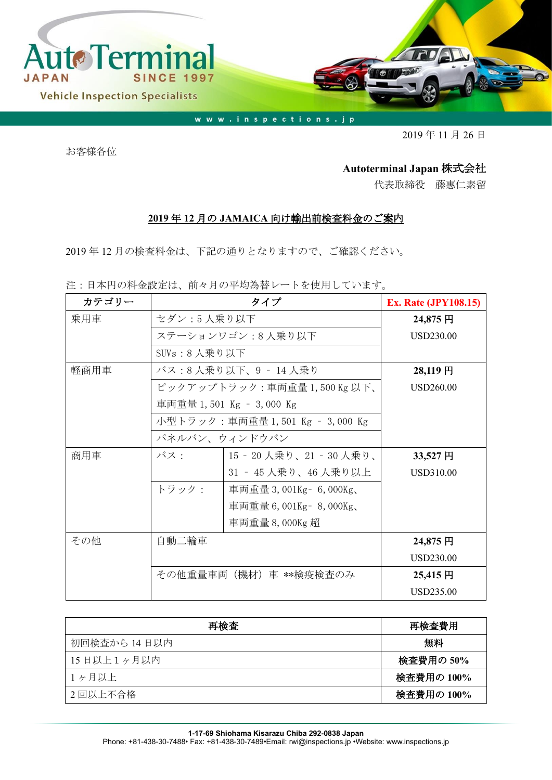

www.inspections.jp

2019 年 11 月 26 日

お客様各位

## **Autoterminal Japan** 株式会社

代表取締役 藤惠仁素留

## **2019** 年 **12** 月の **JAMAICA** 向け輸出前検査料金のご案内

2019 年 12 月の検査料金は、下記の通りとなりますので、ご確認ください。

注:日本円の料金設定は、前々月の平均為替レートを使用しています。

| カテゴリー |                                 | <b>Ex. Rate (JPY108.15)</b> |                  |
|-------|---------------------------------|-----------------------------|------------------|
| 乗用車   | セダン:5人乗り以下                      | 24,875 円                    |                  |
|       |                                 | ステーションワゴン:8人乗り以下            | USD230.00        |
|       | SUVs:8 人乗り以下                    |                             |                  |
| 軽商用車  |                                 | バス:8人乗り以下、9 - 14人乗り         | 28,119円          |
|       |                                 | ピックアップトラック:車両重量1,500Kg以下、   | USD260.00        |
|       |                                 | 車両重量 1,501 Kg - 3,000 Kg    |                  |
|       | 小型トラック:車両重量 1,501 Kg – 3,000 Kg |                             |                  |
|       | パネルバン、ウィンドウバン                   |                             |                  |
| 商用車   | バス:                             | 15‐20 人乗り、21‐30 人乗り、        | 33,527円          |
|       |                                 | 31 - 45 人乗り、46 人乗り以上        | USD310.00        |
|       | トラック:                           | 車両重量 3,001Kg – 6,000Kg、     |                  |
|       |                                 | 車両重量 6,001Kg - 8,000Kg、     |                  |
|       |                                 | 車両重量 8,000Kg 超              |                  |
| その他   | 自動二輪車                           |                             | 24,875 円         |
|       |                                 |                             | USD230.00        |
|       |                                 | その他重量車両(機材)車 **検疫検査のみ       | 25,415円          |
|       |                                 |                             | <b>USD235.00</b> |

| 再検査          | 再検査費用      |
|--------------|------------|
| 初回検査から 14日以内 | 無料         |
| 15日以上1ヶ月以内   | 検査費用の 50%  |
| 1ヶ月以上        | 検査費用の 100% |
| 2回以上不合格      | 検査費用の 100% |